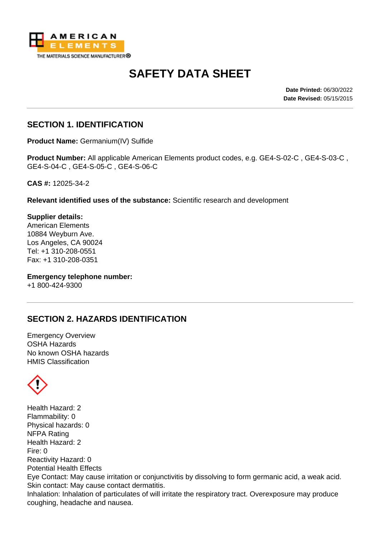

# **SAFETY DATA SHEET**

**Date Printed:** 06/30/2022 **Date Revised:** 05/15/2015

## **SECTION 1. IDENTIFICATION**

**Product Name:** Germanium(IV) Sulfide

**Product Number:** All applicable American Elements product codes, e.g. GE4-S-02-C , GE4-S-03-C , GE4-S-04-C , GE4-S-05-C , GE4-S-06-C

**CAS #:** 12025-34-2

**Relevant identified uses of the substance:** Scientific research and development

**Supplier details:** American Elements 10884 Weyburn Ave. Los Angeles, CA 90024 Tel: +1 310-208-0551 Fax: +1 310-208-0351

**Emergency telephone number:** +1 800-424-9300

# **SECTION 2. HAZARDS IDENTIFICATION**

Emergency Overview OSHA Hazards No known OSHA hazards HMIS Classification



Health Hazard: 2 Flammability: 0 Physical hazards: 0 NFPA Rating Health Hazard: 2 Fire: 0 Reactivity Hazard: 0 Potential Health Effects Eye Contact: May cause irritation or conjunctivitis by dissolving to form germanic acid, a weak acid. Skin contact: May cause contact dermatitis. Inhalation: Inhalation of particulates of will irritate the respiratory tract. Overexposure may produce coughing, headache and nausea.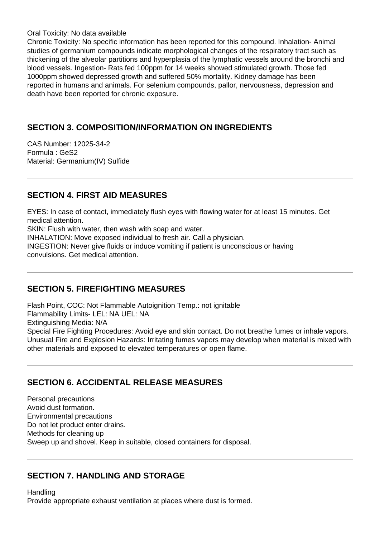Oral Toxicity: No data available

Chronic Toxicity: No specific information has been reported for this compound. Inhalation- Animal studies of germanium compounds indicate morphological changes of the respiratory tract such as thickening of the alveolar partitions and hyperplasia of the lymphatic vessels around the bronchi and blood vessels. Ingestion- Rats fed 100ppm for 14 weeks showed stimulated growth. Those fed 1000ppm showed depressed growth and suffered 50% mortality. Kidney damage has been reported in humans and animals. For selenium compounds, pallor, nervousness, depression and death have been reported for chronic exposure.

# **SECTION 3. COMPOSITION/INFORMATION ON INGREDIENTS**

CAS Number: 12025-34-2 Formula : GeS2 Material: Germanium(IV) Sulfide

# **SECTION 4. FIRST AID MEASURES**

EYES: In case of contact, immediately flush eyes with flowing water for at least 15 minutes. Get medical attention.

SKIN: Flush with water, then wash with soap and water.

INHALATION: Move exposed individual to fresh air. Call a physician.

INGESTION: Never give fluids or induce vomiting if patient is unconscious or having convulsions. Get medical attention.

# **SECTION 5. FIREFIGHTING MEASURES**

Flash Point, COC: Not Flammable Autoignition Temp.: not ignitable Flammability Limits- LEL: NA UEL: NA Extinguishing Media: N/A Special Fire Fighting Procedures: Avoid eye and skin contact. Do not breathe fumes or inhale vapors. Unusual Fire and Explosion Hazards: Irritating fumes vapors may develop when material is mixed with other materials and exposed to elevated temperatures or open flame.

# **SECTION 6. ACCIDENTAL RELEASE MEASURES**

Personal precautions Avoid dust formation. Environmental precautions Do not let product enter drains. Methods for cleaning up Sweep up and shovel. Keep in suitable, closed containers for disposal.

## **SECTION 7. HANDLING AND STORAGE**

**Handling** Provide appropriate exhaust ventilation at places where dust is formed.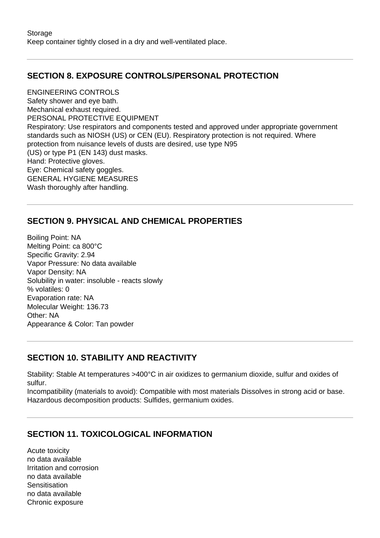# **SECTION 8. EXPOSURE CONTROLS/PERSONAL PROTECTION**

ENGINEERING CONTROLS Safety shower and eye bath. Mechanical exhaust required. PERSONAL PROTECTIVE EQUIPMENT Respiratory: Use respirators and components tested and approved under appropriate government standards such as NIOSH (US) or CEN (EU). Respiratory protection is not required. Where protection from nuisance levels of dusts are desired, use type N95 (US) or type P1 (EN 143) dust masks. Hand: Protective gloves. Eye: Chemical safety goggles. GENERAL HYGIENE MEASURES Wash thoroughly after handling.

# **SECTION 9. PHYSICAL AND CHEMICAL PROPERTIES**

Boiling Point: NA Melting Point: ca 800°C Specific Gravity: 2.94 Vapor Pressure: No data available Vapor Density: NA Solubility in water: insoluble - reacts slowly % volatiles: 0 Evaporation rate: NA Molecular Weight: 136.73 Other: NA Appearance & Color: Tan powder

# **SECTION 10. STABILITY AND REACTIVITY**

Stability: Stable At temperatures >400°C in air oxidizes to germanium dioxide, sulfur and oxides of sulfur.

Incompatibility (materials to avoid): Compatible with most materials Dissolves in strong acid or base. Hazardous decomposition products: Sulfides, germanium oxides.

# **SECTION 11. TOXICOLOGICAL INFORMATION**

Acute toxicity no data available Irritation and corrosion no data available **Sensitisation** no data available Chronic exposure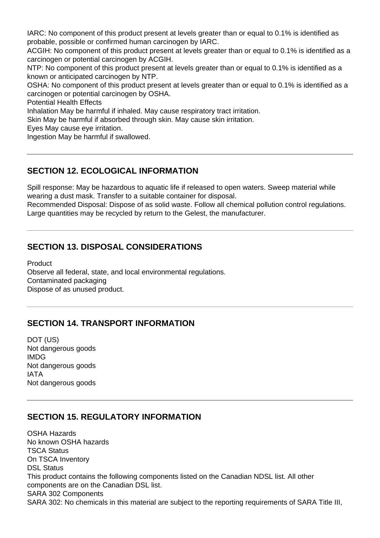IARC: No component of this product present at levels greater than or equal to 0.1% is identified as probable, possible or confirmed human carcinogen by IARC.

ACGIH: No component of this product present at levels greater than or equal to 0.1% is identified as a carcinogen or potential carcinogen by ACGIH.

NTP: No component of this product present at levels greater than or equal to 0.1% is identified as a known or anticipated carcinogen by NTP.

OSHA: No component of this product present at levels greater than or equal to 0.1% is identified as a carcinogen or potential carcinogen by OSHA.

Potential Health Effects

Inhalation May be harmful if inhaled. May cause respiratory tract irritation.

Skin May be harmful if absorbed through skin. May cause skin irritation.

Eyes May cause eye irritation.

Ingestion May be harmful if swallowed.

## **SECTION 12. ECOLOGICAL INFORMATION**

Spill response: May be hazardous to aquatic life if released to open waters. Sweep material while wearing a dust mask. Transfer to a suitable container for disposal.

Recommended Disposal: Dispose of as solid waste. Follow all chemical pollution control regulations. Large quantities may be recycled by return to the Gelest, the manufacturer.

## **SECTION 13. DISPOSAL CONSIDERATIONS**

**Product** Observe all federal, state, and local environmental regulations. Contaminated packaging Dispose of as unused product.

## **SECTION 14. TRANSPORT INFORMATION**

DOT (US) Not dangerous goods IMDG Not dangerous goods IATA Not dangerous goods

#### **SECTION 15. REGULATORY INFORMATION**

OSHA Hazards No known OSHA hazards TSCA Status On TSCA Inventory DSL Status This product contains the following components listed on the Canadian NDSL list. All other components are on the Canadian DSL list. SARA 302 Components SARA 302: No chemicals in this material are subject to the reporting requirements of SARA Title III,